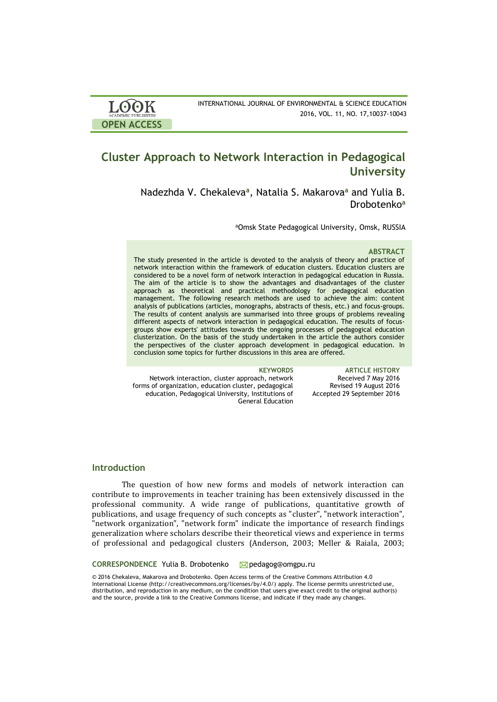| <b>LOOK</b>                | INTERNATIONAL JOURNAL OF ENVIRONMENTAL & SCIENCE EDUCATION |
|----------------------------|------------------------------------------------------------|
| <b>ACADEMIC PUBLISHERS</b> | 2016, VOL. 11, NO. 17, 10037-10043                         |
| <b>OPEN ACCESS</b>         |                                                            |

# **Cluster Approach to Network Interaction in Pedagogical University**

Nadezhda V. Chekaleva**<sup>a</sup>** , Natalia S. Makarova**<sup>a</sup>** and Yulia B. Drobotenko**<sup>a</sup>**

<sup>a</sup>Omsk State Pedagogical University, Omsk, RUSSIA

#### **ABSTRACT**

The study presented in the article is devoted to the analysis of theory and practice of network interaction within the framework of education clusters. Education clusters are considered to be a novel form of network interaction in pedagogical education in Russia. The aim of the article is to show the advantages and disadvantages of the cluster approach as theoretical and practical methodology for pedagogical education management. The following research methods are used to achieve the aim: content analysis of publications (articles, monographs, abstracts of thesis, etc.) and focus-groups. The results of content analysis are summarised into three groups of problems revealing different aspects of network interaction in pedagogical education. The results of focusgroups show experts' attitudes towards the ongoing processes of pedagogical education clusterization. On the basis of the study undertaken in the article the authors consider the perspectives of the cluster approach development in pedagogical education. In conclusion some topics for further discussions in this area are offered.

Network interaction, cluster approach, network forms of organization, education cluster, pedagogical education, Pedagogical University, Institutions of General Education

**KEYWORDS ARTICLE HISTORY** Received 7 May 2016 Revised 19 August 2016 Accepted 29 September 2016

# **Introduction**

The question of how new forms and models of network interaction can contribute to improvements in teacher training has been extensively discussed in the professional community. A wide range of publications, quantitative growth of publications, and usage frequency of such concepts as "cluster", "network interaction", "network organization", "network form" indicate the importance of research findings generalization where scholars describe their theoretical views and experience in terms of professional and pedagogical clusters (Anderson, 2003; Meller & Raiala, 2003;

**CORRESPONDENCE** Yulia B. Drobotenko M[pedagog@omgpu.ru](mailto:pedagog@omgpu.ru)

© 2016 Chekaleva, Makarova and Drobotenko. Open Access terms of the Creative Commons Attribution 4.0 International License (http://creativecommons.org/licenses/by/4.0/) apply. The license permits unrestricted use, distribution, and reproduction in any medium, on the condition that users give exact credit to the original author(s) and the source, provide a link to the Creative Commons license, and indicate if they made any changes.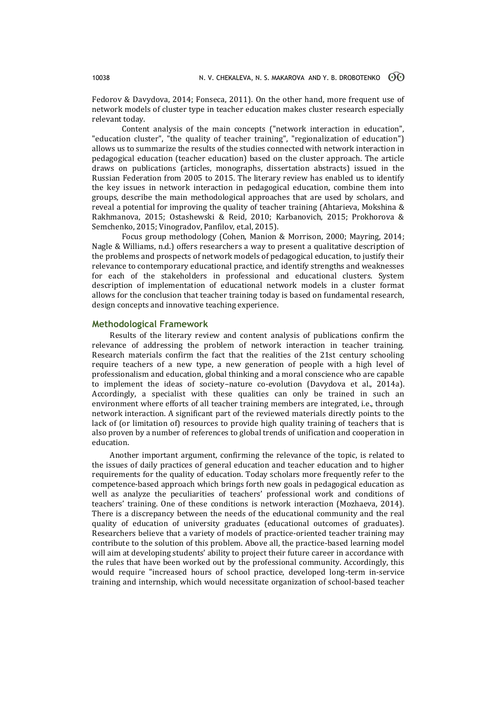Fedorov & Davydova, 2014; Fonseca, 2011). On the other hand, more frequent use of network models of cluster type in teacher education makes cluster research especially relevant today.

Content analysis of the main concepts ("network interaction in education", "education cluster", "the quality of teacher training", "regionalization of education") allows us to summarize the results of the studies connected with network interaction in pedagogical education (teacher education) based on the cluster approach. The article draws on publications (articles, monographs, dissertation abstracts) issued in the Russian Federation from 2005 to 2015. The literary review has enabled us to identify the key issues in network interaction in pedagogical education, combine them into groups, describe the main methodological approaches that are used by scholars, and reveal a potential for improving the quality of teacher training (Ahtarieva, Mokshina & Rakhmanova, 2015; Ostashewski & Reid, 2010; Karbanovich, 2015; Prokhorova & Semchenko, 2015; Vinogradov, Panfilov, et.al, 2015).

Focus group methodology (Cohen, Manion & Morrison, 2000; Mayring, 2014; Nagle & Williams, n.d.) offers researchers a way to present a qualitative description of the problems and prospects of network models of pedagogical education, to justify their relevance to contemporary educational practice, and identify strengths and weaknesses for each of the stakeholders in professional and educational clusters. System description of implementation of educational network models in a cluster format allows for the conclusion that teacher training today is based on fundamental research, design concepts and innovative teaching experience.

# **Methodological Framework**

Results of the literary review and content analysis of publications confirm the relevance of addressing the problem of network interaction in teacher training. Research materials confirm the fact that the realities of the 21st century schooling require teachers of a new type, a new generation of people with a high level of professionalism and education, global thinking and a moral conscience who are capable to implement the ideas of society–nature co-evolution (Davydova et al., 2014a). Accordingly, a specialist with these qualities can only be trained in such an environment where efforts of all teacher training members are integrated, i.e., through network interaction. A significant part of the reviewed materials directly points to the lack of (or limitation of) resources to provide high quality training of teachers that is also proven by a number of references to global trends of unification and cooperation in education.

Another important argument, confirming the relevance of the topic, is related to the issues of daily practices of general education and teacher education and to higher requirements for the quality of education. Today scholars more frequently refer to the competence-based approach which brings forth new goals in pedagogical education as well as analyze the peculiarities of teachers' professional work and conditions of teachers' training. One of these conditions is network interaction (Mozhaeva, 2014). There is a discrepancy between the needs of the educational community and the real quality of education of university graduates (educational outcomes of graduates). Researchers believe that a variety of models of practice-oriented teacher training may contribute to the solution of this problem. Above all, the practice-based learning model will aim at developing students' ability to project their future career in accordance with the rules that have been worked out by the professional community. Accordingly, this would require "increased hours of school practice, developed long-term in-service training and internship, which would necessitate organization of school-based teacher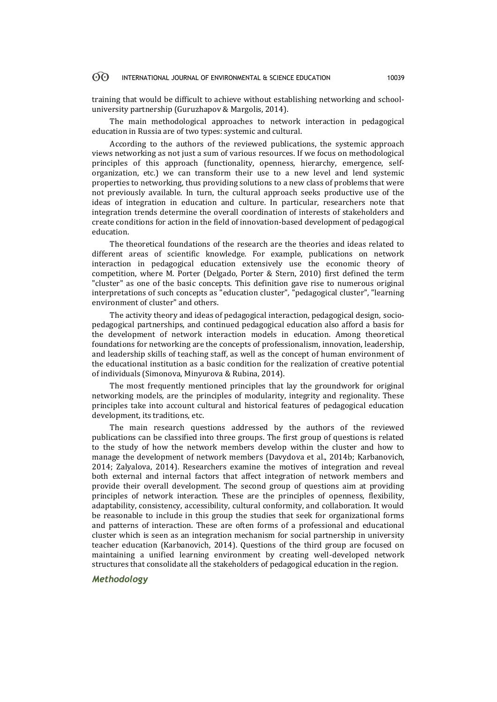#### 60 INTERNATIONAL JOURNAL OF ENVIRONMENTAL & SCIENCE EDUCATION 10039

training that would be difficult to achieve without establishing networking and schooluniversity partnership (Guruzhapov & Margolis, 2014).

The main methodological approaches to network interaction in pedagogical education in Russia are of two types: systemic and cultural.

According to the authors of the reviewed publications, the systemic approach views networking as not just a sum of various resources. If we focus on methodological principles of this approach (functionality, openness, hierarchy, emergence, selforganization, etc.) we can transform their use to a new level and lend systemic properties to networking, thus providing solutions to a new class of problems that were not previously available. In turn, the cultural approach seeks productive use of the ideas of integration in education and culture. In particular, researchers note that integration trends determine the overall coordination of interests of stakeholders and create conditions for action in the field of innovation-based development of pedagogical education.

The theoretical foundations of the research are the theories and ideas related to different areas of scientific knowledge. For example, publications on network interaction in pedagogical education extensively use the economic theory of competition, where M. Porter (Delgado, Porter & Stern, 2010) first defined the term "cluster" as one of the basic concepts. This definition gave rise to numerous original interpretations of such concepts as "education cluster", "pedagogical cluster", "learning environment of cluster" and others.

The activity theory and ideas of pedagogical interaction, pedagogical design, sociopedagogical partnerships, and continued pedagogical education also afford a basis for the development of network interaction models in education. Among theoretical foundations for networking are the concepts of professionalism, innovation, leadership, and leadership skills of teaching staff, as well as the concept of human environment of the educational institution as a basic condition for the realization of creative potential of individuals (Simonova, Minyurova & Rubina, 2014).

The most frequently mentioned principles that lay the groundwork for original networking models, are the principles of modularity, integrity and regionality. These principles take into account cultural and historical features of pedagogical education development, its traditions, etc.

The main research questions addressed by the authors of the reviewed publications can be classified into three groups. The first group of questions is related to the study of how the network members develop within the cluster and how to manage the development of network members (Davydova et al., 2014b; Karbanovich, 2014; Zalyalova, 2014). Researchers examine the motives of integration and reveal both external and internal factors that affect integration of network members and provide their overall development. The second group of questions aim at providing principles of network interaction. These are the principles of openness, flexibility, adaptability, consistency, accessibility, cultural conformity, and collaboration. It would be reasonable to include in this group the studies that seek for organizational forms and patterns of interaction. These are often forms of a professional and educational cluster which is seen as an integration mechanism for social partnership in university teacher education (Karbanovich, 2014). Questions of the third group are focused on maintaining a unified learning environment by creating well-developed network structures that consolidate all the stakeholders of pedagogical education in the region.

# *Methodology*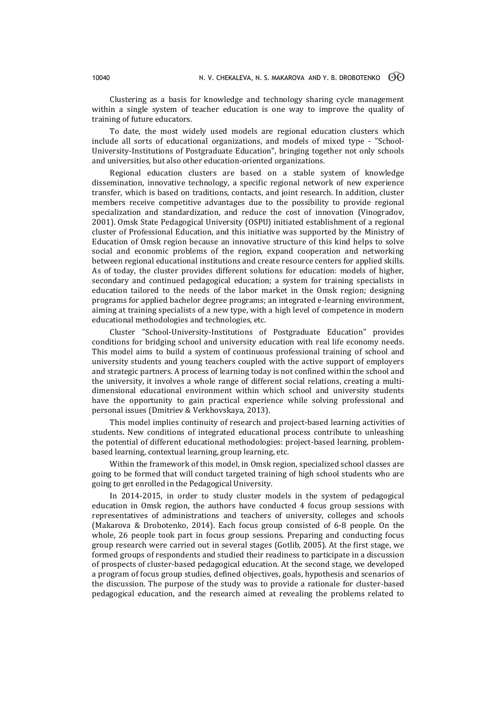Clustering as a basis for knowledge and technology sharing cycle management within a single system of teacher education is one way to improve the quality of training of future educators.

To date, the most widely used models are regional education clusters which include all sorts of educational organizations, and models of mixed type - "School-University-Institutions of Postgraduate Education", bringing together not only schools and universities, but also other education-oriented organizations.

Regional education clusters are based on a stable system of knowledge dissemination, innovative technology, a specific regional network of new experience transfer, which is based on traditions, contacts, and joint research. In addition, cluster members receive competitive advantages due to the possibility to provide regional specialization and standardization, and reduce the cost of innovation (Vinogradov, 2001). Omsk State Pedagogical University (OSPU) initiated establishment of a regional cluster of Professional Education, and this initiative was supported by the Ministry of Education of Omsk region because an innovative structure of this kind helps to solve social and economic problems of the region, expand cooperation and networking between regional educational institutions and create resource centers for applied skills. As of today, the cluster provides different solutions for education: models of higher, secondary and continued pedagogical education; a system for training specialists in education tailored to the needs of the labor market in the Omsk region; designing programs for applied bachelor degree programs; an integrated e-learning environment, aiming at training specialists of a new type, with a high level of competence in modern educational methodologies and technologies, etc.

Cluster "School-University-Institutions of Postgraduate Education" provides conditions for bridging school and university education with real life economy needs. This model aims to build a system of continuous professional training of school and university students and young teachers coupled with the active support of employers and strategic partners. A process of learning today is not confined within the school and the university, it involves a whole range of different social relations, creating a multidimensional educational environment within which school and university students have the opportunity to gain practical experience while solving professional and personal issues (Dmitriev & Verkhovskaya, 2013).

This model implies continuity of research and project-based learning activities of students. New conditions of integrated educational process contribute to unleashing the potential of different educational methodologies: project-based learning, problembased learning, contextual learning, group learning, etc.

Within the framework of this model, in Omsk region, specialized school classes are going to be formed that will conduct targeted training of high school students who are going to get enrolled in the Pedagogical University.

In 2014-2015, in order to study cluster models in the system of pedagogical education in Omsk region, the authors have conducted 4 focus group sessions with representatives of administrations and teachers of university, colleges and schools (Makarova & Drobotenko, 2014). Each focus group consisted of 6-8 people. On the whole, 26 people took part in focus group sessions. Preparing and conducting focus group research were carried out in several stages (Gotlib, 2005). At the first stage, we formed groups of respondents and studied their readiness to participate in a discussion of prospects of cluster-based pedagogical education. At the second stage, we developed a program of focus group studies, defined objectives, goals, hypothesis and scenarios of the discussion. The purpose of the study was to provide a rationale for cluster-based pedagogical education, and the research aimed at revealing the problems related to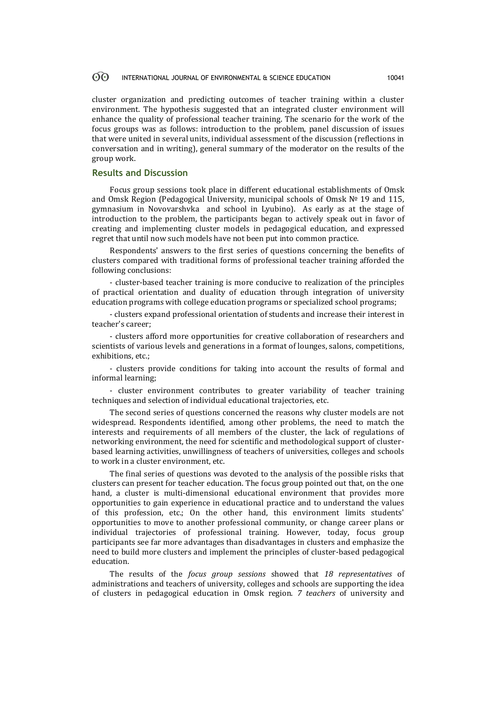#### $\odot$ INTERNATIONAL JOURNAL OF ENVIRONMENTAL & SCIENCE EDUCATION 10041

cluster organization and predicting outcomes of teacher training within a cluster environment. The hypothesis suggested that an integrated cluster environment will enhance the quality of professional teacher training. The scenario for the work of the focus groups was as follows: introduction to the problem, panel discussion of issues that were united in several units, individual assessment of the discussion (reflections in conversation and in writing), general summary of the moderator on the results of the group work.

# **Results and Discussion**

Focus group sessions took place in different educational establishments of Omsk and Omsk Region (Pedagogical University, municipal schools of Omsk № 19 and 115, gymnasium in Novovarshvka and school in Lyubino). As early as at the stage of introduction to the problem, the participants began to actively speak out in favor of creating and implementing cluster models in pedagogical education, and expressed regret that until now such models have not been put into common practice.

Respondents' answers to the first series of questions concerning the benefits of clusters compared with traditional forms of professional teacher training afforded the following conclusions:

- cluster-based teacher training is more conducive to realization of the principles of practical orientation and duality of education through integration of university education programs with college education programs or specialized school programs;

- clusters expand professional orientation of students and increase their interest in teacher's career;

- clusters afford more opportunities for creative collaboration of researchers and scientists of various levels and generations in a format of lounges, salons, competitions, exhibitions, etc.;

- clusters provide conditions for taking into account the results of formal and informal learning;

- cluster environment contributes to greater variability of teacher training techniques and selection of individual educational trajectories, etc.

The second series of questions concerned the reasons why cluster models are not widespread. Respondents identified, among other problems, the need to match the interests and requirements of all members of the cluster, the lack of regulations of networking environment, the need for scientific and methodological support of clusterbased learning activities, unwillingness of teachers of universities, colleges and schools to work in a cluster environment, etc.

The final series of questions was devoted to the analysis of the possible risks that clusters can present for teacher education. The focus group pointed out that, on the one hand, a cluster is multi-dimensional educational environment that provides more opportunities to gain experience in educational practice and to understand the values of this profession, etc.; On the other hand, this environment limits students' opportunities to move to another professional community, or change career plans or individual trajectories of professional training. However, today, focus group participants see far more advantages than disadvantages in clusters and emphasize the need to build more clusters and implement the principles of cluster-based pedagogical education.

The results of the *focus group sessions* showed that *18 representatives* of administrations and teachers of university, colleges and schools are supporting the idea of clusters in pedagogical education in Omsk region. *7 teachers* of university and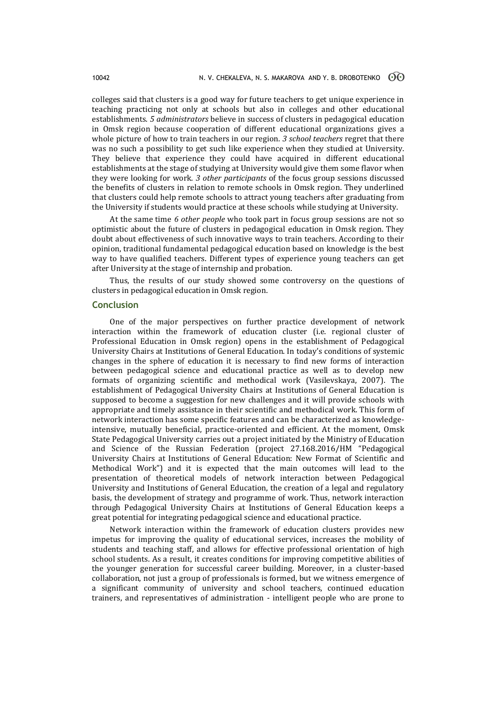colleges said that clusters is a good way for future teachers to get unique experience in teaching practicing not only at schools but also in colleges and other educational establishments. *5 administrators* believe in success of clusters in pedagogical education in Omsk region because cooperation of different educational organizations gives a whole picture of how to train teachers in our region. *3 school teachers* regret that there was no such a possibility to get such like experience when they studied at University. They believe that experience they could have acquired in different educational establishments at the stage of studying at University would give them some flavor when they were looking for work. *3 other participants* of the focus group sessions discussed the benefits of clusters in relation to remote schools in Omsk region. They underlined that clusters could help remote schools to attract young teachers after graduating from the University if students would practice at these schools while studying at University.

At the same time *6 other people* who took part in focus group sessions are not so optimistic about the future of clusters in pedagogical education in Omsk region. They doubt about effectiveness of such innovative ways to train teachers. According to their opinion, traditional fundamental pedagogical education based on knowledge is the best way to have qualified teachers. Different types of experience young teachers can get after University at the stage of internship and probation.

Thus, the results of our study showed some controversy on the questions of clusters in pedagogical education in Omsk region.

# **Conclusion**

One of the major perspectives on further practice development of network interaction within the framework of education cluster (i.e. regional cluster of Professional Education in Omsk region) opens in the establishment of Pedagogical University Chairs at Institutions of General Education. In today's conditions of systemic changes in the sphere of education it is necessary to find new forms of interaction between pedagogical science and educational practice as well as to develop new formats of organizing scientific and methodical work (Vasilevskaya, 2007). The establishment of Pedagogical University Chairs at Institutions of General Education is supposed to become a suggestion for new challenges and it will provide schools with appropriate and timely assistance in their scientific and methodical work. This form of network interaction has some specific features and can be characterized as knowledgeintensive, mutually beneficial, practice-oriented and efficient. At the moment, Omsk State Pedagogical University carries out a project initiated by the Ministry of Education and Science of the Russian Federation (project 27.168.2016/НМ "Pedagogical University Chairs at Institutions of General Education: New Format of Scientific and Methodical Work") and it is expected that the main outcomes will lead to the presentation of theoretical models of network interaction between Pedagogical University and Institutions of General Education, the creation of a legal and regulatory basis, the development of strategy and programme of work. Thus, network interaction through Pedagogical University Chairs at Institutions of General Education keeps a great potential for integrating pedagogical science and educational practice.

Network interaction within the framework of education clusters provides new impetus for improving the quality of educational services, increases the mobility of students and teaching staff, and allows for effective professional orientation of high school students. As a result, it creates conditions for improving competitive abilities of the younger generation for successful career building. Moreover, in a cluster-based collaboration, not just a group of professionals is formed, but we witness emergence of a significant community of university and school teachers, continued education trainers, and representatives of administration - intelligent people who are prone to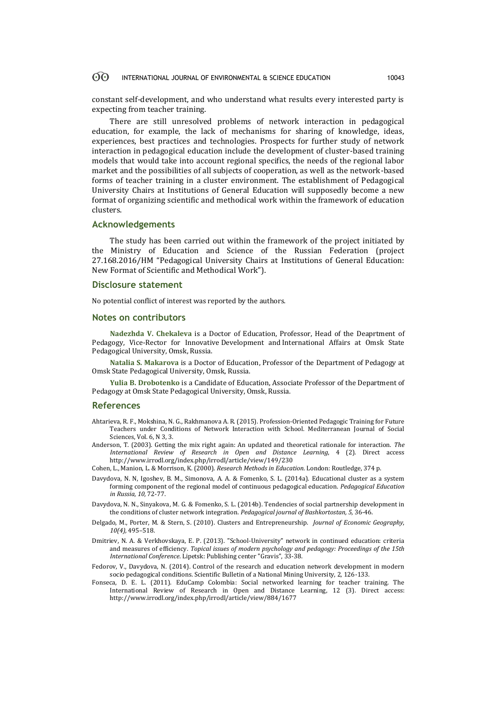#### <u>ගිල</u> INTERNATIONAL JOURNAL OF ENVIRONMENTAL & SCIENCE EDUCATION 10043

constant self-development, and who understand what results every interested party is expecting from teacher training.

There are still unresolved problems of network interaction in pedagogical education, for example, the lack of mechanisms for sharing of knowledge, ideas, experiences, best practices and technologies. Prospects for further study of network interaction in pedagogical education include the development of cluster-based training models that would take into account regional specifics, the needs of the regional labor market and the possibilities of all subjects of cooperation, as well as the network-based forms of teacher training in a cluster environment. The establishment of Pedagogical University Chairs at Institutions of General Education will supposedly become a new format of organizing scientific and methodical work within the framework of education clusters.

### **Acknowledgements**

The study has been carried out within the framework of the project initiated by the Ministry of Education and Science of the Russian Federation (project 27.168.2016/НМ "Pedagogical University Chairs at Institutions of General Education: New Format of Scientific and Methodical Work").

### **Disclosure statement**

No potential conflict of interest was reported by the authors.

### **Notes on contributors**

**Nadezhda V. Chekaleva** is a Doctor of Education, Professor, Head of the Deaprtment of Pedagogy, Vice-Rector for Innovative Development and International Affairs at Omsk State Pedagogical University, Omsk, Russia.

**Natalia S. Makarova** is a Doctor of Education, Professor of the Department of Pedagogy at Omsk State Pedagogical University, Omsk, Russia.

**Yulia B. Drobotenko** is a Candidate of Education, Associate Professor of the Department of Pedagogy at Omsk State Pedagogical University, Omsk, Russia.

### **References**

- Ahtarieva, R. F., Mokshina, N. G., Rakhmanova A. R. (2015). Profession-Oriented Pedagogic Training for Future Teachers under Conditions of Network Interaction with School. Mediterranean Journal of Social Sciences, Vol. 6, N 3, 3.
- Anderson, T. (2003). Getting the mix right again: An updated and theoretical rationale for interaction. *The International Review of Research in Open and Distance Learning*, 4 (2). Direct access <http://www.irrodl.org/index.php/irrodl/article/view/149/230>
- Cohen, L., Manion, L. & Morrison, K. (2000). *Research Methods in Education*. London: Routledge, 374 p.
- Davydova, N. N, Igoshev, B. M., Simonova, А. А. & Fomenko, S. L. (2014a). Educational cluster as a system forming component of the regional model of continuous pedagogical education. *Pedagogical Education in Russia*, *10,* 72-77.
- Davydova, N. N., Sinyakova, M. G. & Fomenko, S. L. (2014b). Tendencies of social partnership development in the conditions of cluster network integration. *Pedagogical journal of Bashkortostan, 5,* 36-46.
- Delgado, M., Porter, M. & Stern, S. (2010). Clusters and Entrepreneurship. *Journal of Economic Geography*, *10(4),* 495–518.
- Dmitriev, N. А. & Verkhovskaya, Е. P. (2013). "School-University" network in continued education: criteria and measures of efficiency. *Topical issues of modern psychology and pedagogy: Proceedings of the 15th International Conference*. Lipetsk: Publishing center "Gravis", 33-38.
- Fedorov, V., Davydova, N. (2014). Control of the research and education network development in modern socio pedagogical conditions. Scientific Bulletin of a National Mining University, 2, 126-133.
- Fonseca, D. E. L. (2011). EduCamp Colombia: Social networked learning for teacher training. The International Review of Research in Open and Distance Learning, 12 (3). Direct access: <http://www.irrodl.org/index.php/irrodl/article/view/884/1677>